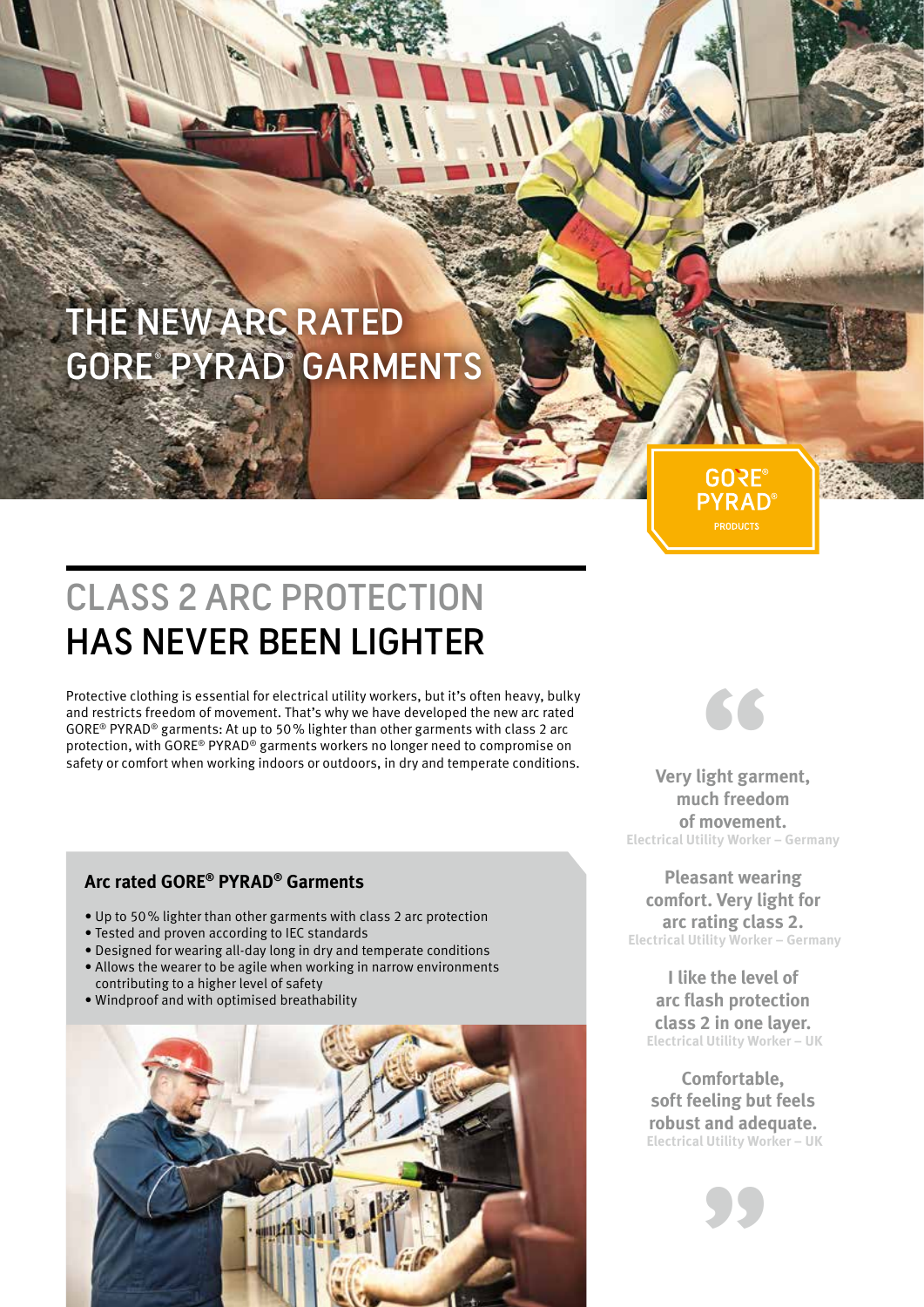# THE NEW ARC RATED GORE® PYRAD® GARMENTS

# CLASS 2 ARC PROTECTION HAS NEVER BEEN LIGHTER

Protective clothing is essential for electrical utility workers, but it's often heavy, bulky<br>
and restricts freedom of movement. That's why we have developed the new arc rated<br>
GORE® PYRAD® garments: At up to 50% lighter t and restricts freedom of movement. That's why we have developed the new arc rated GORE® PYRAD® garments: At up to 50% lighter than other garments with class 2 arc protection, with GORE® PYRAD® garments workers no longer need to compromise on safety or comfort when working indoors or outdoors, in dry and temperate conditions.

### **Arc rated GORE® PYRAD® Garments**

- Up to 50% lighter than other garments with class 2 arc protection
- Tested and proven according to IEC standards
- Designed for wearing all-day long in dry and temperate conditions
- Allows the wearer to be agile when working in narrow environments
- contributing to a higher level of safety
- Windproof and with optimised breathability





**GORE PYRAD** 

**Very light garment, much freedom of movement. Electrical Utility Worker – Germany** 

**Pleasant wearing comfort. Very light for arc rating class 2. Electrical Utility Worker – Germany**

**I like the level of arc flash protection class 2 in one layer. Electrical Utility Worker – UK**

**Comfortable, soft feeling but feels robust and adequate. Electrical Utility Worker – UK**